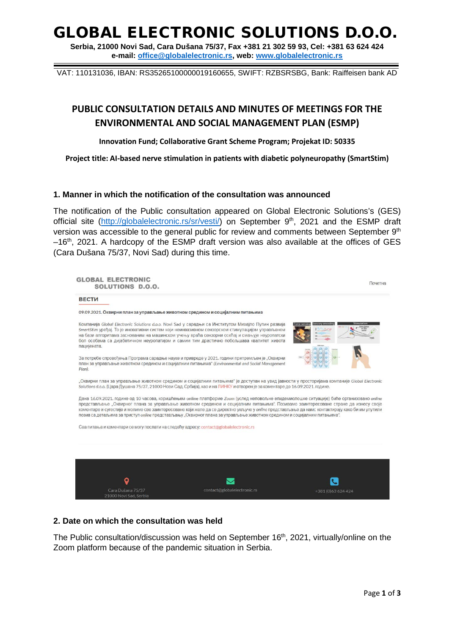### GLOBAL ELECTRONIC SOLUTIONS D.O.O.

**Serbia, 21000 Novi Sad, Cara Dušana 75/37, Fax +381 21 302 59 93, Cel: +381 63 624 424 e-mail: [office@globalelectronic.rs,](mailto:office@globalelectronic.rs) web: [www.globalelectronic.rs](http://www.globalelectronic.rs/)**

VAT: 110131036, IBAN: RS35265100000019160655, SWIFT: RZBSRSBG, Bank: Raiffeisen bank AD

### **PUBLIC CONSULTATION DETAILS AND MINUTES OF MEETINGS FOR THE ENVIRONMENTAL AND SOCIAL MANAGEMENT PLAN (ESMP)**

**Innovation Fund; Collaborative Grant Scheme Program; Projekat ID: 50335**

**Project title: AI-based nerve stimulation in patients with diabetic polyneuropathy (SmartStim)**

#### **1. Manner in which the notification of the consultation was announced**

The notification of the Public consultation appeared on Global Electronic Solutions's (GES) official site [\(http://globalelectronic.rs/sr/vesti/\)](http://globalelectronic.rs/sr/vesti/) on September 9<sup>th</sup>, 2021 and the ESMP draft version was accessible to the general public for review and comments between September 9<sup>th</sup>  $-16$ <sup>th</sup>, 2021. A hardcopy of the ESMP draft version was also available at the offices of GES (Cara Dušana 75/37, Novi Sad) during this time.

| <b>ВЕСТИ</b>                                |                                                                                                                                                                                                                                                                                                                                                                                                                                                                                                                                                               |                    |
|---------------------------------------------|---------------------------------------------------------------------------------------------------------------------------------------------------------------------------------------------------------------------------------------------------------------------------------------------------------------------------------------------------------------------------------------------------------------------------------------------------------------------------------------------------------------------------------------------------------------|--------------------|
|                                             | 09.09.2021. Оквирни план за управљање животном средином и социјалним питањима                                                                                                                                                                                                                                                                                                                                                                                                                                                                                 |                    |
| пацијената.                                 | Компанија Global Electronic Solutions d.o.o. Novi Sad у сарадњи са Институтом Михајло Пупин развија<br>SmartStim уређај. То је иновативни систем који неинвазивном сензорском стимулацијом управљаном<br>на бази алгоритама заснованим на машинском учењу враћа сензорни осећај и смањује неуропатски<br>бол особама са дијабетичном неуропатијом и самим тим драстично побољшава квалитет живота                                                                                                                                                             | Force sens         |
| Plan).                                      | За потребе спровођења Програма сарадње науке и привреде у 2021. години припремљен је "Оквирни<br>план за управљање животном средином и социјалним питањима" (Environmental and Social Management                                                                                                                                                                                                                                                                                                                                                              |                    |
|                                             | "Оквирни план за управљање животном средином и социјалним питањима" је доступан на увид јавности у просторијама компаније Global Electronic<br>Solutions d.o.o. (Цара Душана 75/37, 21000 Нови Сад, Србија), као и на ЛИНКУ и отворен је за коментаре до 16.09.2021. године.                                                                                                                                                                                                                                                                                  |                    |
|                                             | Дана 16.09.2021. године од 10 часова, коришћењем online платформе Zoom (услед неповољне епидемиолошке ситуације) биће организовано online<br>представљање "Оквирног плана за управљање животном средином и социјалним питањима". Позивамо заинтересоване стране да изнесу своје<br>коментаре и сугестије и молимо све заинтересоване који желе да се директно укључе у online представљање да намс контактирају како би им упутили<br>позив са детаљима за приступ online представљању "Оквирног плана за управљање животном средином и социјалним питањима". |                    |
|                                             | Сва питања и коментари се могу послати на следећу адресу: contact@globalelectronic.rs                                                                                                                                                                                                                                                                                                                                                                                                                                                                         |                    |
|                                             |                                                                                                                                                                                                                                                                                                                                                                                                                                                                                                                                                               |                    |
|                                             |                                                                                                                                                                                                                                                                                                                                                                                                                                                                                                                                                               |                    |
|                                             |                                                                                                                                                                                                                                                                                                                                                                                                                                                                                                                                                               |                    |
| O                                           |                                                                                                                                                                                                                                                                                                                                                                                                                                                                                                                                                               |                    |
| Cara Dušana 75/37<br>21000 Novi Sad, Serbia | contact@globalelectronic.rs                                                                                                                                                                                                                                                                                                                                                                                                                                                                                                                                   | +381 (0)63 624 424 |

#### **2. Date on which the consultation was held**

The Public consultation/discussion was held on September 16<sup>th</sup>, 2021, virtually/online on the Zoom platform because of the pandemic situation in Serbia.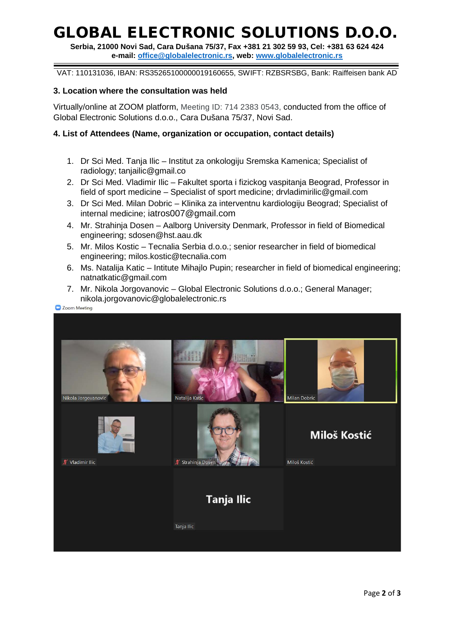# GLOBAL ELECTRONIC SOLUTIONS D.O.O.

**Serbia, 21000 Novi Sad, Cara Dušana 75/37, Fax +381 21 302 59 93, Cel: +381 63 624 424 e-mail: [office@globalelectronic.rs,](mailto:office@globalelectronic.rs) web: [www.globalelectronic.rs](http://www.globalelectronic.rs/)**

VAT: 110131036, IBAN: RS35265100000019160655, SWIFT: RZBSRSBG, Bank: Raiffeisen bank AD

#### **3. Location where the consultation was held**

Virtually/online at ZOOM platform, Meeting ID: 714 2383 0543, conducted from the office of Global Electronic Solutions d.o.o., Cara Dušana 75/37, Novi Sad.

#### **4. List of Attendees (Name, organization or occupation, contact details)**

- 1. Dr Sci Med. Tanja Ilic Institut za onkologiju Sremska Kamenica; Specialist of radiology; tanjailic@gmail.co
- 2. Dr Sci Med. Vladimir Ilic Fakultet sporta i fizickog vaspitanja Beograd, Professor in field of sport medicine – Specialist of sport medicine; drvladimirilic@gmail.com
- 3. Dr Sci Med. Milan Dobric Klinika za interventnu kardiologiju Beograd; Specialist of internal medicine; iatros007@gmail.com
- 4. Mr. Strahinja Dosen Aalborg University Denmark, Professor in field of Biomedical engineering; sdosen@hst.aau.dk
- 5. Mr. Milos Kostic Tecnalia Serbia d.o.o.; senior researcher in field of biomedical engineering; milos.kostic@tecnalia.com
- 6. Ms. Natalija Katic Intitute Mihajlo Pupin; researcher in field of biomedical engineering; natnatkatic@gmail.com
- 7. Mr. Nikola Jorgovanovic Global Electronic Solutions d.o.o.; General Manager; nikola.jorgovanovic@globalelectronic.rs